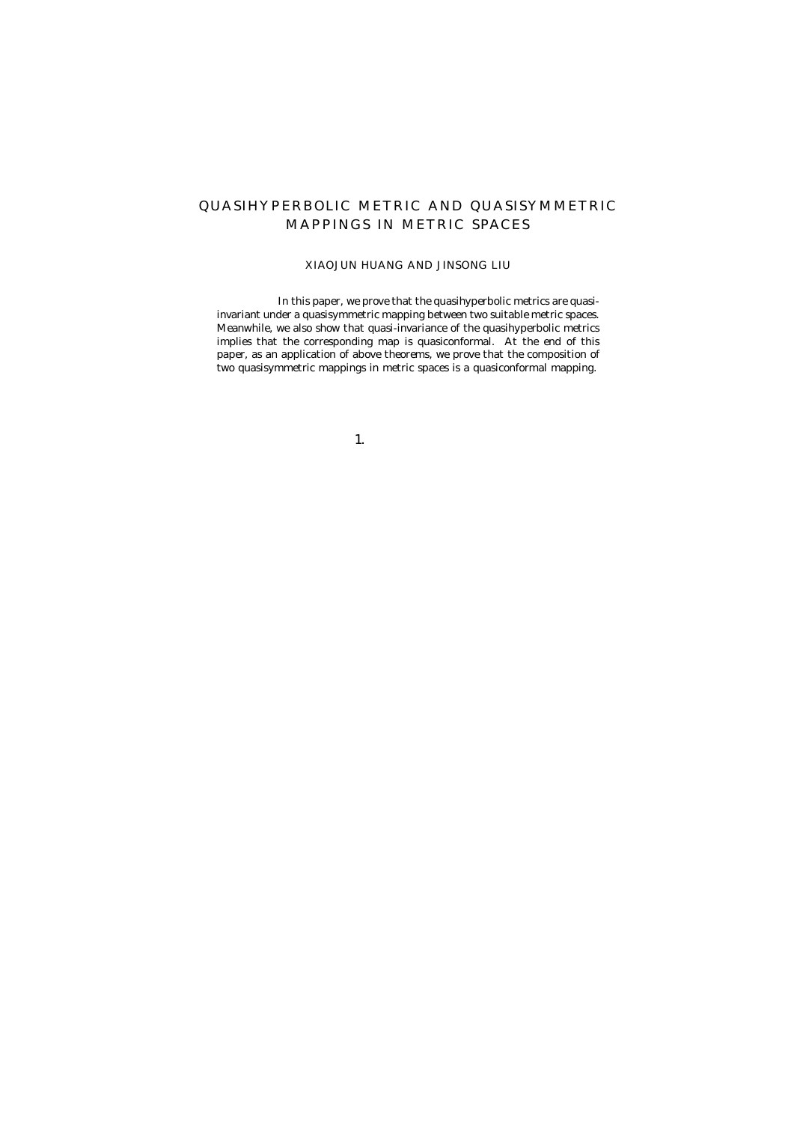#### XIAOJUN HUANG AND JINSONG LIU

Abstract. In this paper, we prove that the quasihyperbolic metrics are quasiinvariant under a quasisymmetric mapping between two suitable metric spaces. Meanwhile, we also show that quasi-invariance of the quasihyperbolic metrics implies that the corresponding map is quasiconformal. At the end of this paper, as an application of above theorems, we prove that the composition of two quasisymmetric mappings in metric spaces is a quasiconformal mapping.

1. Introduction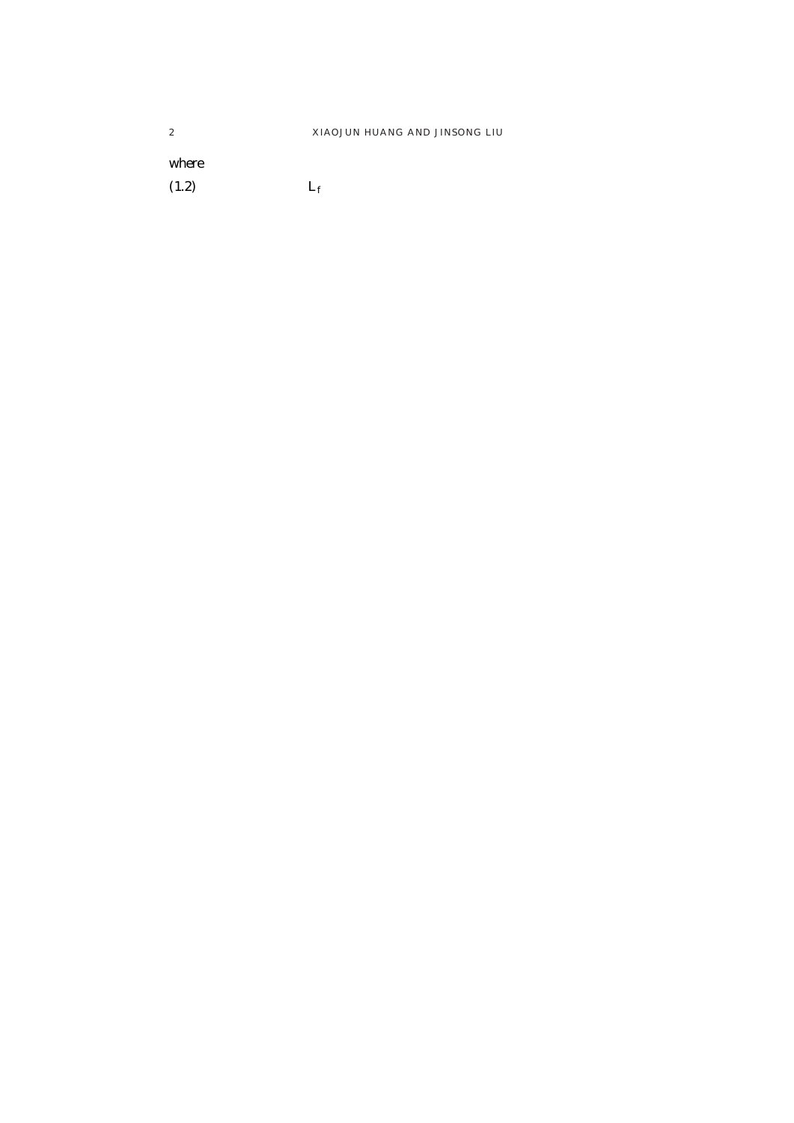XIAOJUN HUANG AND JINSONG LIU

where  $(1.2)$ 

 $L_f$ 

 $\overline{2}$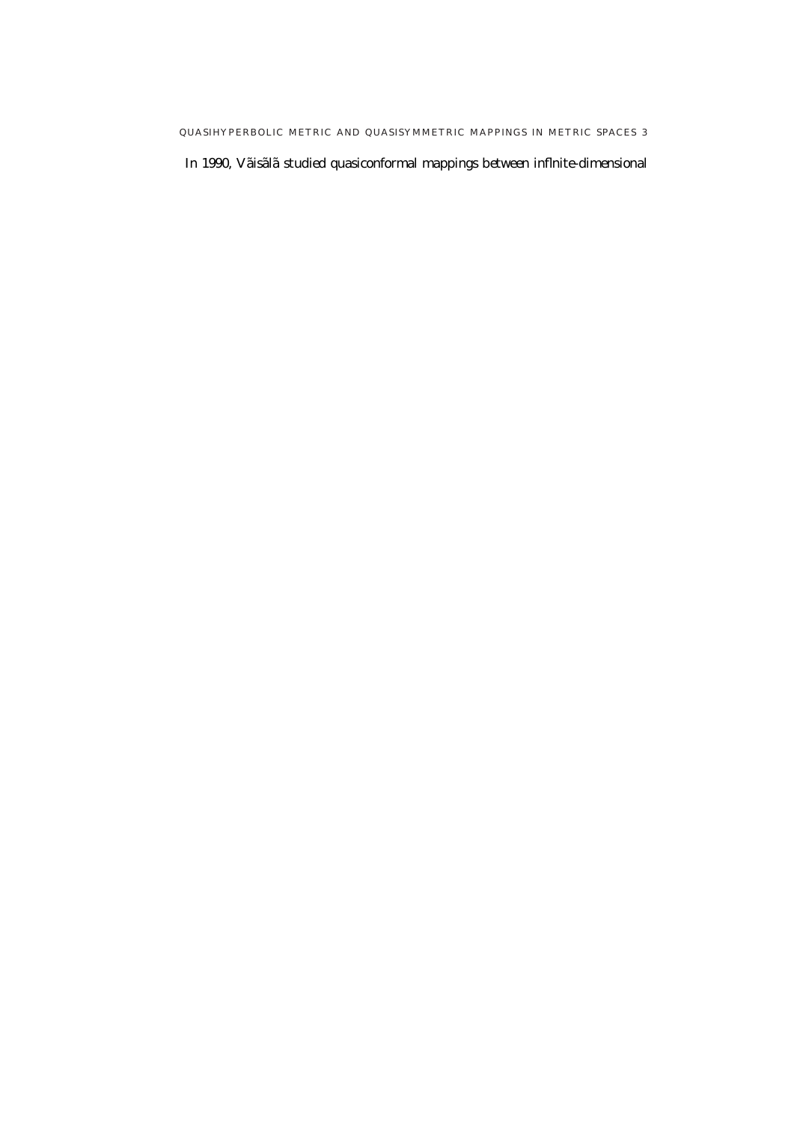QUASIHYPERBOLIC METRIC AND QUASISYMMETRIC MAPPINGS IN METRIC SPACES 3 In 1990, Väisälä studied quasiconformal mappings between in<sup>-</sup>nite-dimensional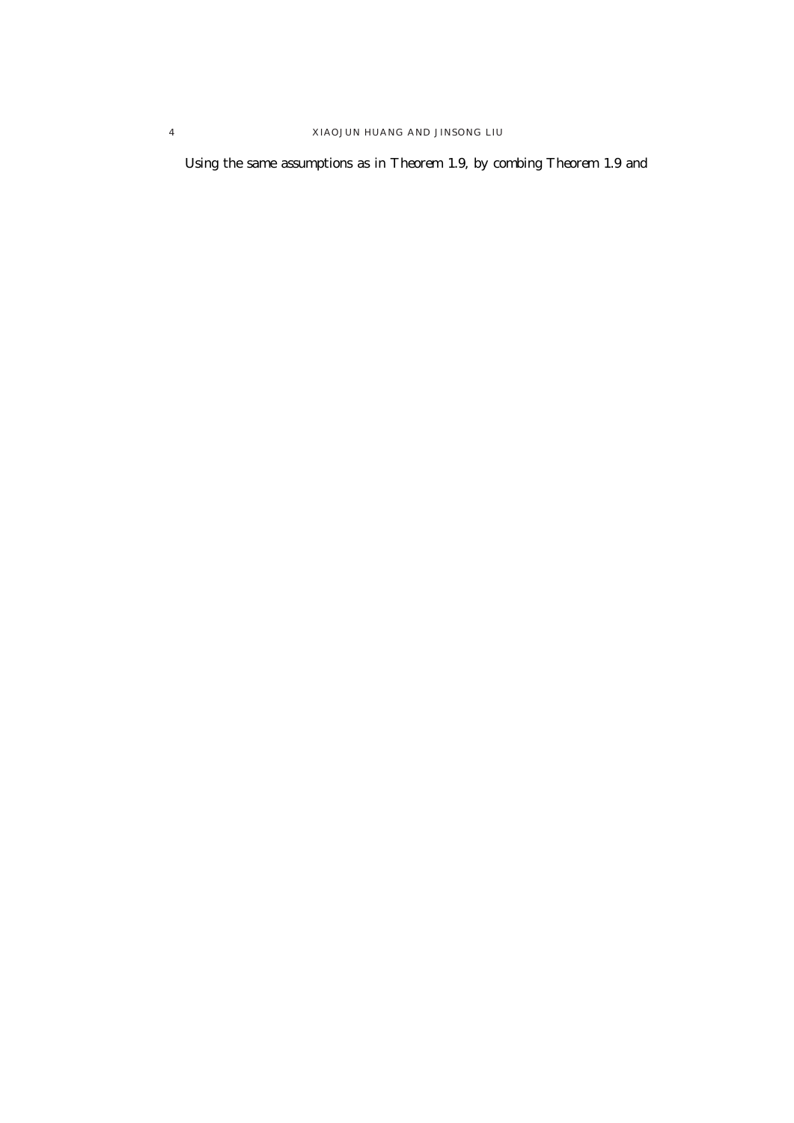Using the same assumptions as in Theorem 1.9, by combing Theorem 1.9 and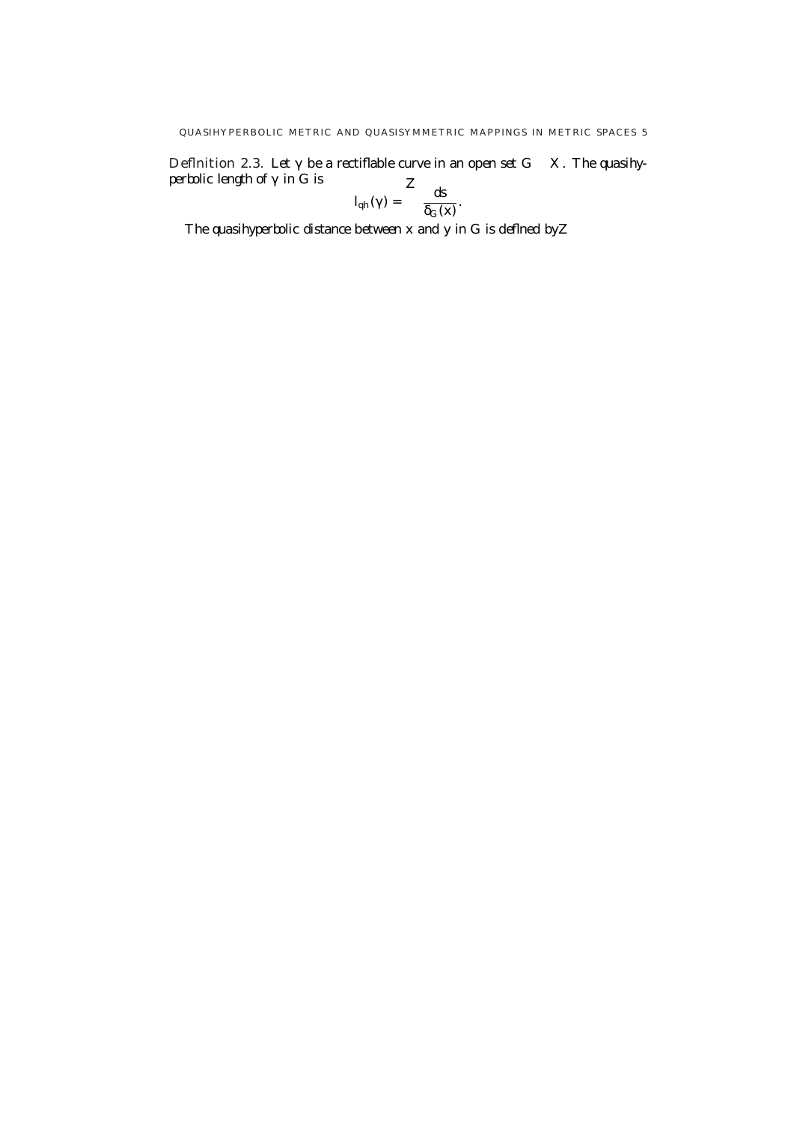De $\overline{a}$  nition 2.3. Let  $\degree$  be a recti $\overline{a}$  able curve in an open set  $G$  X. The quasihy*perbolic length* of  $\degree$  in *G* is  $\frac{z}{ds}$ 

$$
I_{qh}(^\circ) = \int_{0}^{L} \frac{ds}{t_G(x)}.
$$

The *quasihyperbolic distance* between x and y in G is de $\bar{c}$  and by  $\bar{Z}$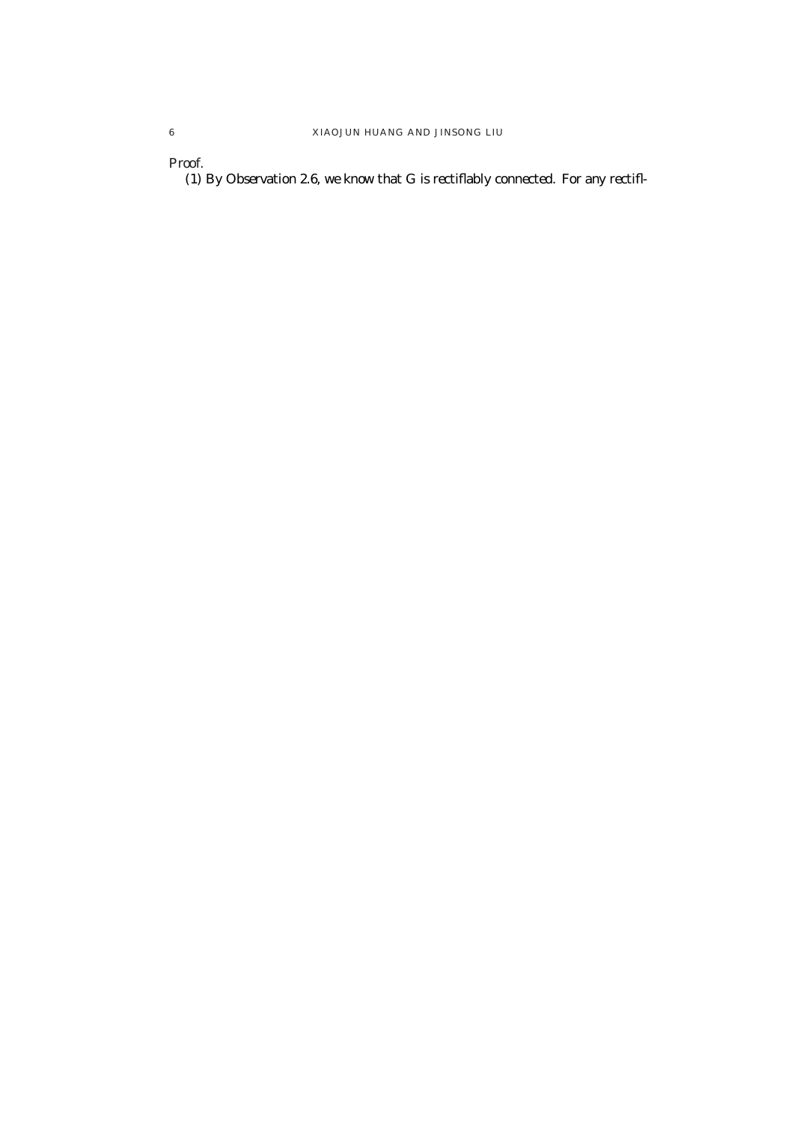Proof.

(1) By Observation 2.6, we know that  $G$  is recti $\bar{ }$  ably connected. For any recti<sup>-</sup>-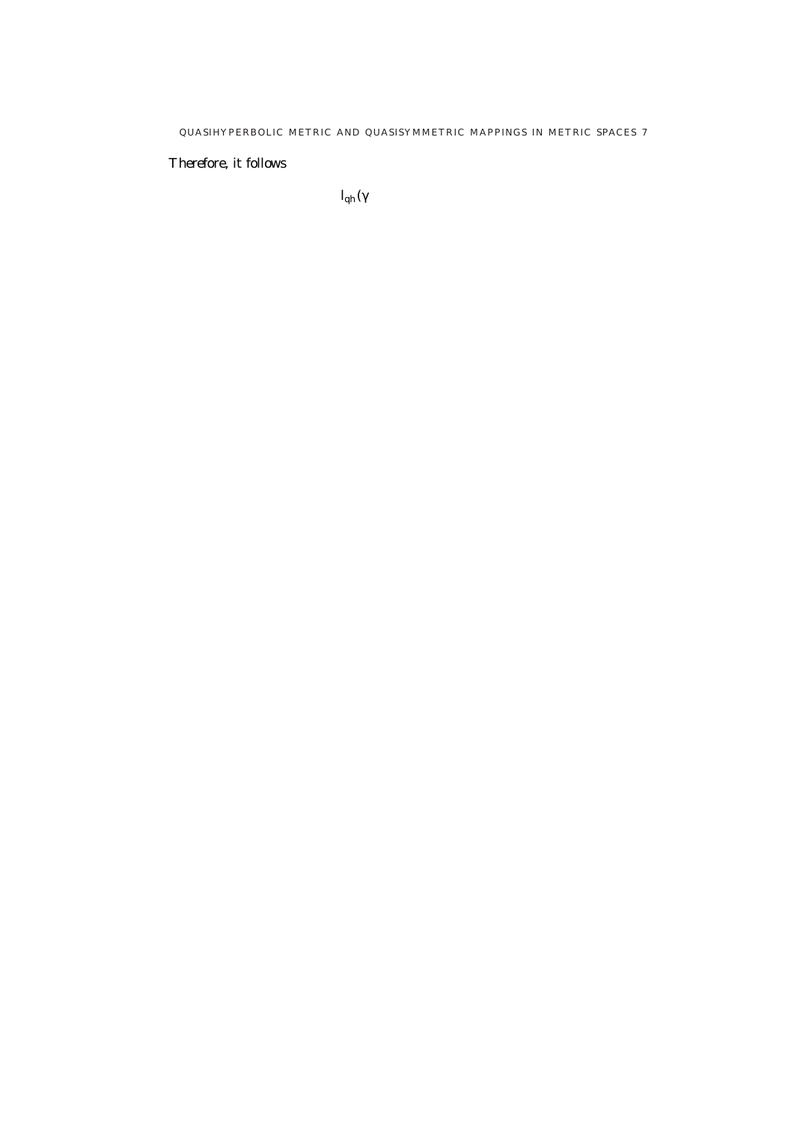Therefore, it follows

 $I_{qh} ($   $^{\circ}$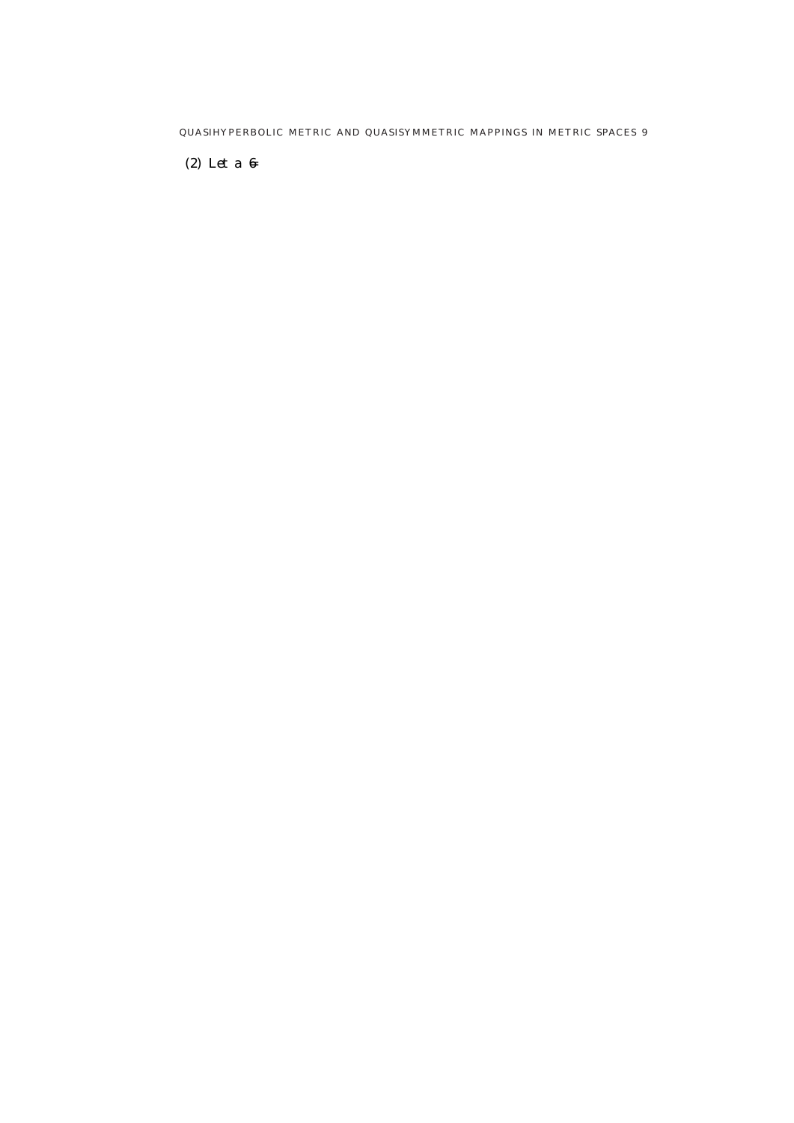(2) Let  $a \not\in$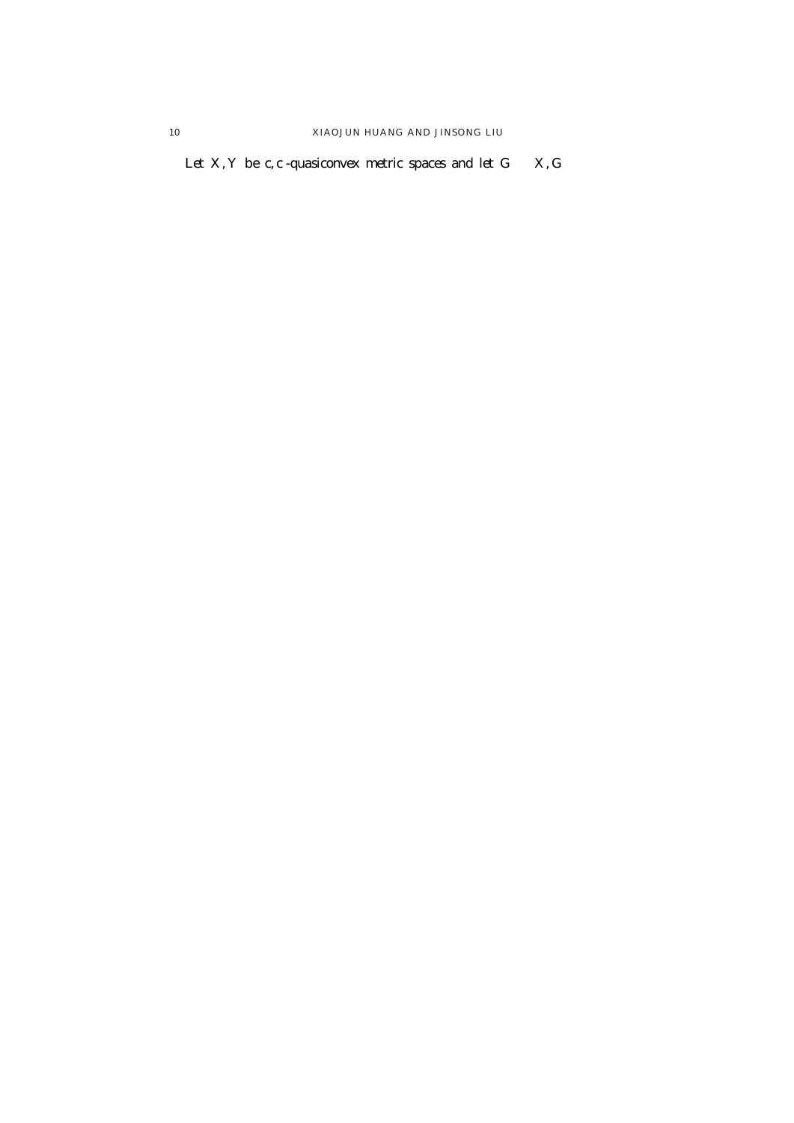Let  $X/Y$  be  $c/C^0$ -quasiconvex metric spaces and let  $G = X/G$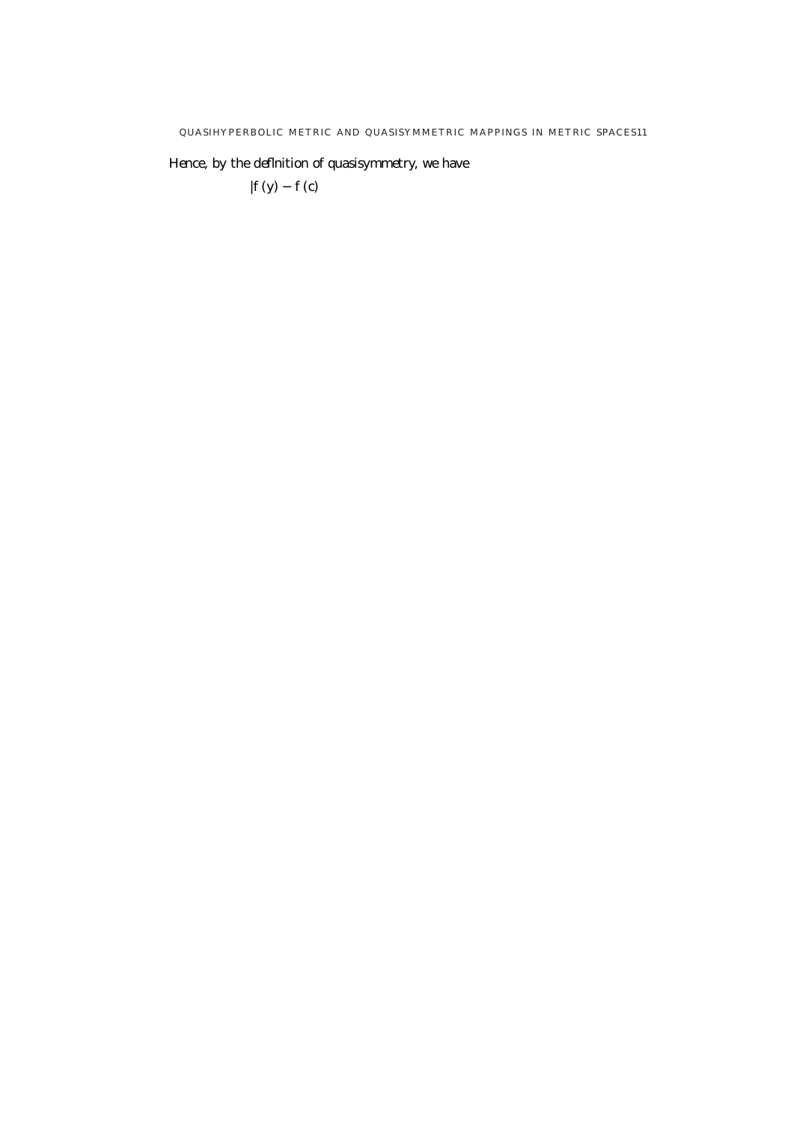Hence, by the de<sup>-</sup>nition of quasisymmetry, we have

 $j f(y)$   $j f(c)$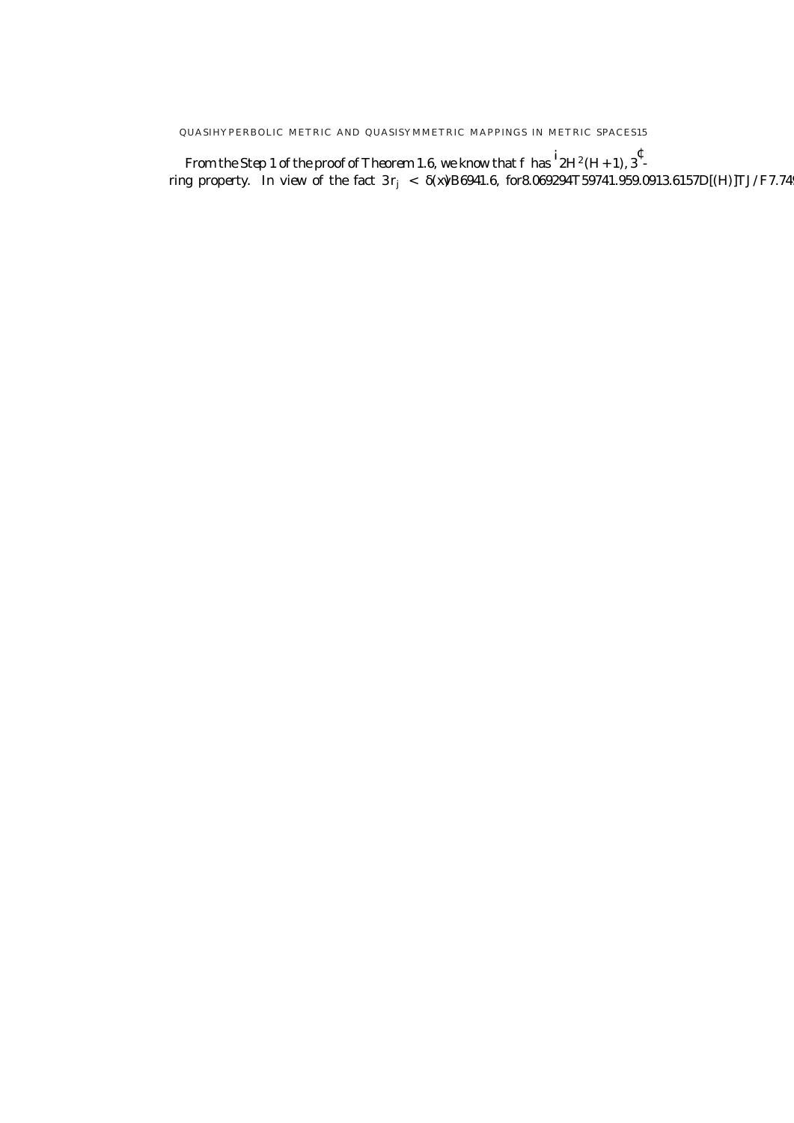From the Step 1 of the proof of Theorem 1.6, we know that  $f$  has  $^{1}$ 2H<sup>2</sup>(H+1);3 ¢ ring property. In view of the fact 3  $r_j$   $\,$   $\,$   $\pm$  (x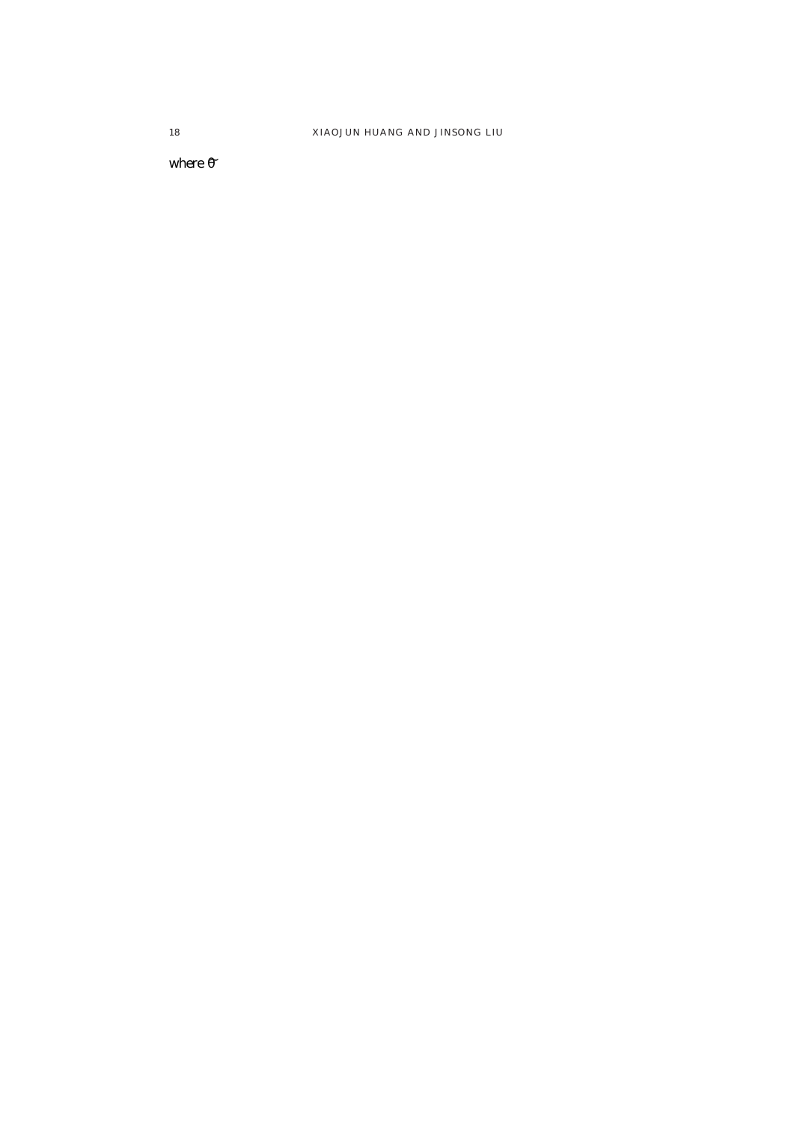where  $p$ 

18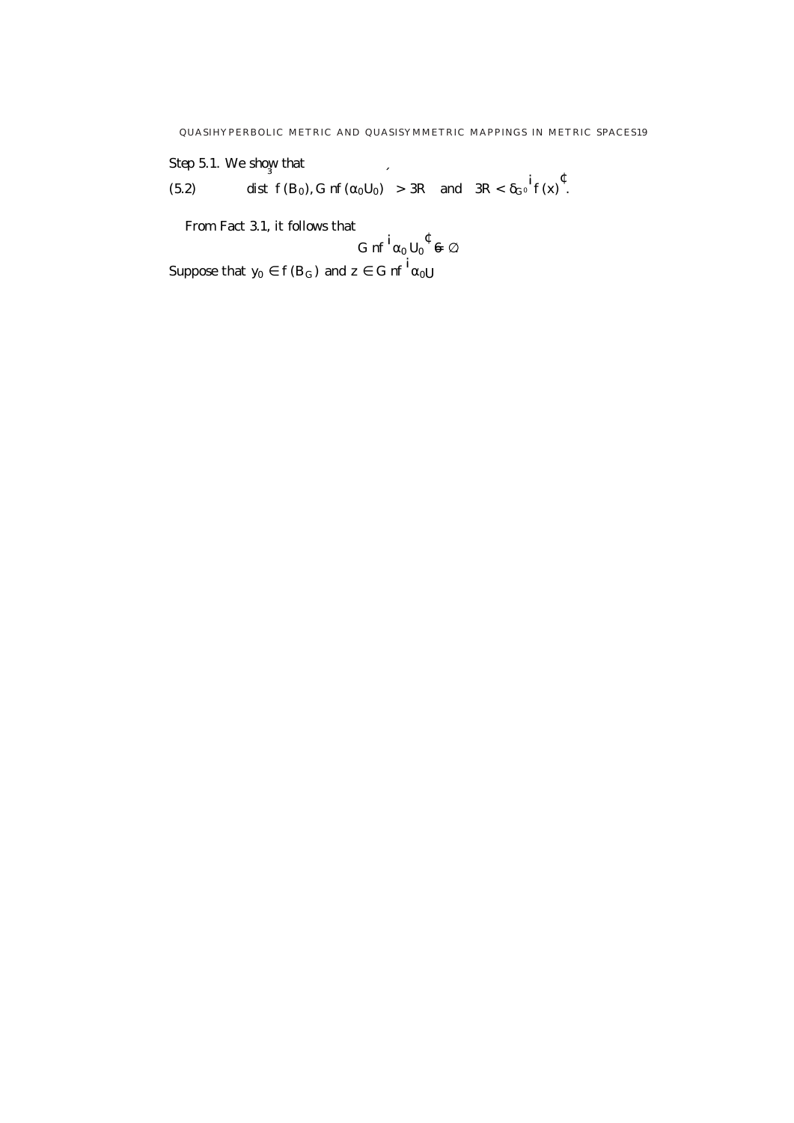Step 5.1. We show that

 $(5.2)$ ³  $f(B_0)$ ;  $G^{\theta}$ nf $(\mathcal{B}_0 U_0)$  $\overline{\phantom{a}}$  $> 3R$  and  $3R < \pm G$ ¡  $f(x)$ ¢ :

From Fact 3.1, it follows that

$$
G^{\theta}n f^{\theta} \otimes U_0^{\theta} G
$$

Suppose that  $y_0$  2  $f(B_G)$  and z 2  $G^{\ell} n f^{\overline{\ell}}$  $\mathcal{B}_0$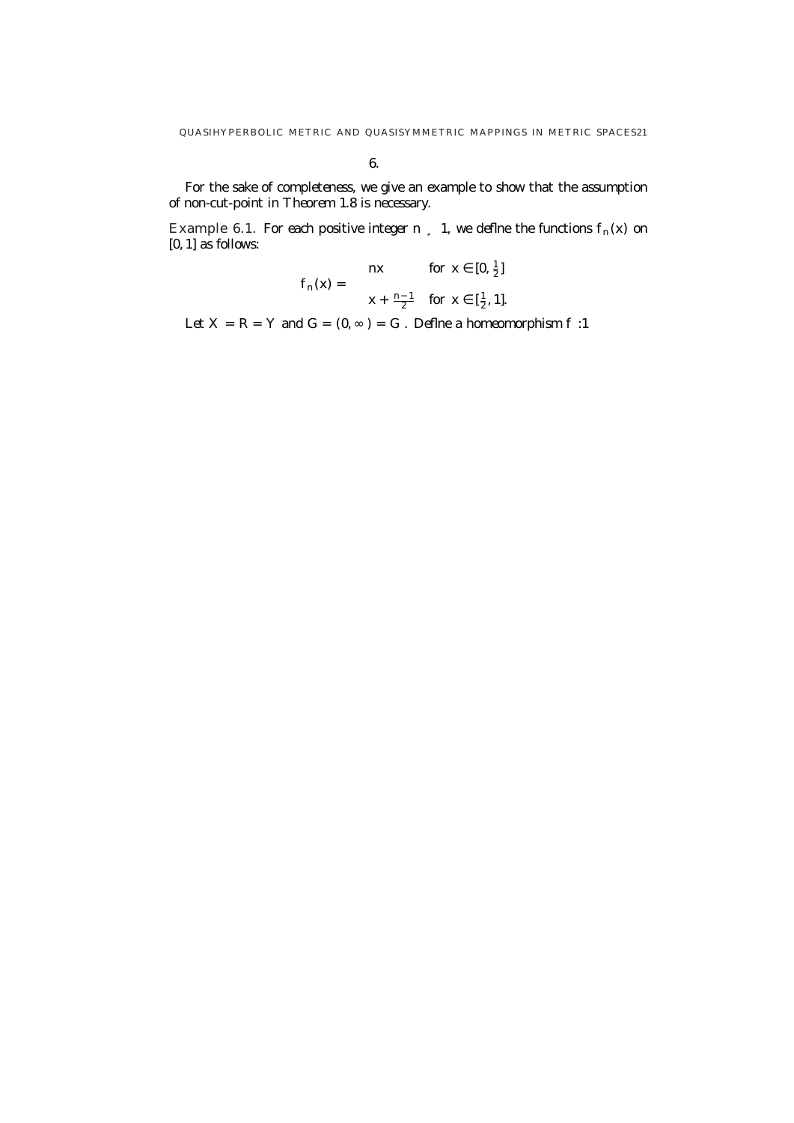

## 6. Appendix

For the sake of completeness, we give an example to show that the assumption of non-cut-point in Theorem 1.8 is necessary.

Example 6.1. For each positive integer  $n = 1$ , we de ne the functions  $f_n(x)$  on  $[0, 1]$  as follows:  $\overline{a}$ 

$$
f_n(x) = \begin{cases} \n\infty & \text{for } x \geq [0; \frac{1}{2}] \\ \n\cdot & x + \frac{n_1}{2} \quad \text{for } x \geq [\frac{1}{2}, 1]. \n\end{cases}
$$

Let  $X = R = Y$  and  $G = (0, 1) = G^0$ . De ne a homeomorphism  $f: 1^x$  8